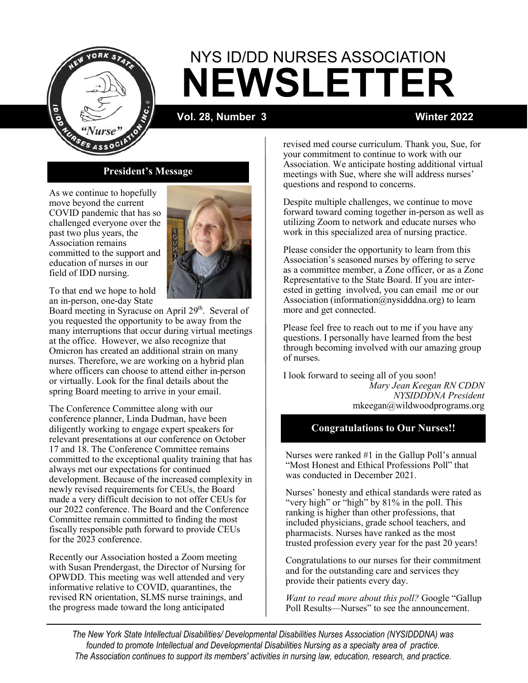

# **NEWSLETTER** NYS ID/DD NURSES ASSOCIATION

**Vol. 28, Number 3 Winter 2022**

## **President's Message**

As we continue to hopefully move beyond the current COVID pandemic that has so challenged everyone over the past two plus years, the Association remains committed to the support and education of nurses in our field of IDD nursing.



To that end we hope to hold an in-person, one-day State

Board meeting in Syracuse on April 29<sup>th</sup>. Several of you requested the opportunity to be away from the many interruptions that occur during virtual meetings at the office. However, we also recognize that Omicron has created an additional strain on many nurses. Therefore, we are working on a hybrid plan where officers can choose to attend either in-person or virtually. Look for the final details about the spring Board meeting to arrive in your email.

The Conference Committee along with our conference planner, Linda Dudman, have been diligently working to engage expert speakers for relevant presentations at our conference on October 17 and 18. The Conference Committee remains committed to the exceptional quality training that has always met our expectations for continued development. Because of the increased complexity in newly revised requirements for CEUs, the Board made a very difficult decision to not offer CEUs for our 2022 conference. The Board and the Conference Committee remain committed to finding the most fiscally responsible path forward to provide CEUs for the 2023 conference.

Recently our Association hosted a Zoom meeting with Susan Prendergast, the Director of Nursing for OPWDD. This meeting was well attended and very informative relative to COVID, quarantines, the revised RN orientation, SLMS nurse trainings, and the progress made toward the long anticipated

revised med course curriculum. Thank you, Sue, for your commitment to continue to work with our Association. We anticipate hosting additional virtual meetings with Sue, where she will address nurses' questions and respond to concerns.

Despite multiple challenges, we continue to move forward toward coming together in-person as well as utilizing Zoom to network and educate nurses who work in this specialized area of nursing practice.

Please consider the opportunity to learn from this Association's seasoned nurses by offering to serve as a committee member, a Zone officer, or as a Zone Representative to the State Board. If you are interested in getting involved, you can email me or our Association (information@nysidddna.org) to learn more and get connected.

Please feel free to reach out to me if you have any questions. I personally have learned from the best through becoming involved with our amazing group of nurses.

I look forward to seeing all of you soon! *Mary Jean Keegan RN CDDN NYSIDDDNA President* mkeegan@wildwoodprograms.org

## **Congratulations to Our Nurses!!**

Nurses were ranked #1 in the Gallup Poll's annual "Most Honest and Ethical Professions Poll" that was conducted in December 2021.

Nurses' honesty and ethical standards were rated as "very high" or "high" by 81% in the poll. This ranking is higher than other professions, that included physicians, grade school teachers, and pharmacists. Nurses have ranked as the most trusted profession every year for the past 20 years!

Congratulations to our nurses for their commitment and for the outstanding care and services they provide their patients every day.

*Want to read more about this poll?* Google "Gallup Poll Results—Nurses" to see the announcement.

*The New York State Intellectual Disabilities/ Developmental Disabilities Nurses Association (NYSIDDDNA) was founded to promote Intellectual and Developmental Disabilities Nursing as a specialty area of practice. The Association continues to support its members' activities in nursing law, education, research, and practice.*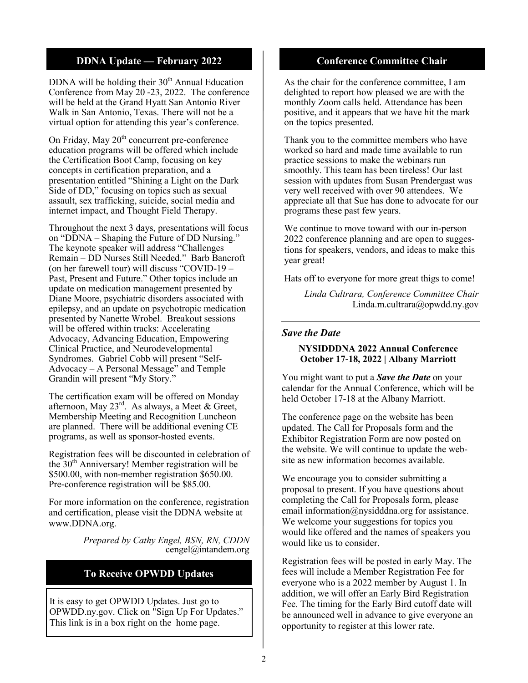## **DDNA Update — February 2022**

DDNA will be holding their  $30<sup>th</sup>$  Annual Education Conference from May 20 -23, 2022. The conference will be held at the Grand Hyatt San Antonio River Walk in San Antonio, Texas. There will not be a virtual option for attending this year's conference.

On Friday, May  $20<sup>th</sup>$  concurrent pre-conference education programs will be offered which include the Certification Boot Camp, focusing on key concepts in certification preparation, and a presentation entitled "Shining a Light on the Dark Side of DD," focusing on topics such as sexual assault, sex trafficking, suicide, social media and internet impact, and Thought Field Therapy.

Throughout the next 3 days, presentations will focus on "DDNA – Shaping the Future of DD Nursing." The keynote speaker will address "Challenges Remain – DD Nurses Still Needed." Barb Bancroft (on her farewell tour) will discuss "COVID-19 – Past, Present and Future." Other topics include an update on medication management presented by Diane Moore, psychiatric disorders associated with epilepsy, and an update on psychotropic medication presented by Nanette Wrobel. Breakout sessions will be offered within tracks: Accelerating Advocacy, Advancing Education, Empowering Clinical Practice, and Neurodevelopmental Syndromes. Gabriel Cobb will present "Self-Advocacy – A Personal Message" and Temple Grandin will present "My Story."

The certification exam will be offered on Monday afternoon, May  $23^{rd}$ . As always, a Meet & Greet, Membership Meeting and Recognition Luncheon are planned. There will be additional evening CE programs, as well as sponsor-hosted events.

Registration fees will be discounted in celebration of the  $30<sup>th</sup>$  Anniversary! Member registration will be \$500.00, with non-member registration \$650.00. Pre-conference registration will be \$85.00.

For more information on the conference, registration and certification, please visit the DDNA website at www.DDNA.org.

> *Prepared by Cathy Engel, BSN, RN, CDDN* cengel@intandem.org

## **To Receive OPWDD Updates**

It is easy to get OPWDD Updates. Just go to OPWDD.ny.gov. Click on "Sign Up For Updates." This link is in a box right on the home page.

#### **Conference Committee Chair**

As the chair for the conference committee, I am delighted to report how pleased we are with the monthly Zoom calls held. Attendance has been positive, and it appears that we have hit the mark on the topics presented.

Thank you to the committee members who have worked so hard and made time available to run practice sessions to make the webinars run smoothly. This team has been tireless! Our last session with updates from Susan Prendergast was very well received with over 90 attendees. We appreciate all that Sue has done to advocate for our programs these past few years.

We continue to move toward with our in-person 2022 conference planning and are open to suggestions for speakers, vendors, and ideas to make this year great!

Hats off to everyone for more great thigs to come!

*Linda Cultrara, Conference Committee Chair* Linda.m.cultrara@opwdd.ny.gov

#### *Save the Date*

#### **NYSIDDDNA 2022 Annual Conference October 17-18, 2022 | Albany Marriott**

You might want to put a *Save the Date* on your calendar for the Annual Conference, which will be held October 17-18 at the Albany Marriott.

The conference page on the website has been updated. The Call for Proposals form and the Exhibitor Registration Form are now posted on the website. We will continue to update the website as new information becomes available.

We encourage you to consider submitting a proposal to present. If you have questions about completing the Call for Proposals form, please email information@nysidddna.org for assistance. We welcome your suggestions for topics you would like offered and the names of speakers you would like us to consider.

Registration fees will be posted in early May. The fees will include a Member Registration Fee for everyone who is a 2022 member by August 1. In addition, we will offer an Early Bird Registration Fee. The timing for the Early Bird cutoff date will be announced well in advance to give everyone an opportunity to register at this lower rate.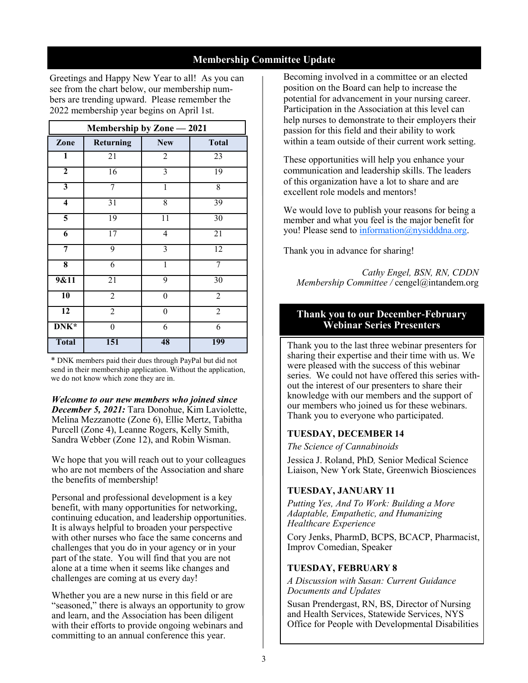## **Membership Committee Update**

Greetings and Happy New Year to all! As you can see from the chart below, our membership numbers are trending upward. Please remember the 2022 membership year begins on April 1st.

| Membership by Zone - 2021 |                  |                          |                 |  |  |  |
|---------------------------|------------------|--------------------------|-----------------|--|--|--|
| Zone                      | <b>Returning</b> | <b>New</b>               | <b>Total</b>    |  |  |  |
| ī                         | 21               | $\overline{2}$           | 23              |  |  |  |
| $\overline{2}$            | $\overline{16}$  | $\overline{3}$           | 19              |  |  |  |
| $\overline{\mathbf{3}}$   | 7                | $\overline{1}$           | $\overline{8}$  |  |  |  |
| 4                         | $\overline{31}$  | $\overline{8}$           | 39              |  |  |  |
| $\overline{5}$            | $\overline{19}$  | $\overline{11}$          | 30              |  |  |  |
| $\overline{6}$            | $\overline{17}$  | $\overline{\mathcal{A}}$ | $\overline{2}1$ |  |  |  |
| 7                         | 9                | $\overline{3}$           | 12              |  |  |  |
| $\overline{\bf 8}$        | 6                | $\overline{1}$           | 7               |  |  |  |
| 9&11                      | $\overline{21}$  | 9                        | 30              |  |  |  |
| 10                        | $\overline{2}$   | $\overline{0}$           | $\overline{2}$  |  |  |  |
| $\overline{12}$           | $\overline{2}$   | $\boldsymbol{0}$         | $\overline{2}$  |  |  |  |
| DNK*                      | 0                | 6                        | 6               |  |  |  |
| <b>Total</b>              | 151              | 48                       | 199             |  |  |  |

\* DNK members paid their dues through PayPal but did not send in their membership application. Without the application, we do not know which zone they are in.

*Welcome to our new members who joined since December 5, 2021:* Tara Donohue, Kim Laviolette, Melina Mezzanotte (Zone 6), Ellie Mertz, Tabitha Purcell (Zone 4), Leanne Rogers, Kelly Smith, Sandra Webber (Zone 12), and Robin Wisman.

We hope that you will reach out to your colleagues who are not members of the Association and share the benefits of membership!

Personal and professional development is a key benefit, with many opportunities for networking, continuing education, and leadership opportunities. It is always helpful to broaden your perspective with other nurses who face the same concerns and challenges that you do in your agency or in your part of the state. You will find that you are not alone at a time when it seems like changes and challenges are coming at us every day!

Whether you are a new nurse in this field or are "seasoned," there is always an opportunity to grow and learn, and the Association has been diligent with their efforts to provide ongoing webinars and committing to an annual conference this year.

Becoming involved in a committee or an elected position on the Board can help to increase the potential for advancement in your nursing career. Participation in the Association at this level can help nurses to demonstrate to their employers their passion for this field and their ability to work within a team outside of their current work setting.

These opportunities will help you enhance your communication and leadership skills. The leaders of this organization have a lot to share and are excellent role models and mentors!

We would love to publish your reasons for being a member and what you feel is the major benefit for you! Please send to [information@nysidddna.org.](mailto:information@nysiddna.org)

Thank you in advance for sharing!

*Cathy Engel, BSN, RN, CDDN Membership Committee /* cengel@intandem.org

#### **Thank you to our December-February Webinar Series Presenters**

Thank you to the last three webinar presenters for sharing their expertise and their time with us. We were pleased with the success of this webinar series. We could not have offered this series without the interest of our presenters to share their knowledge with our members and the support of our members who joined us for these webinars. Thank you to everyone who participated.

## **TUESDAY, DECEMBER 14**

*The Science of Cannabinoids*

Jessica J. Roland, PhD*,* Senior Medical Science Liaison, New York State, Greenwich Biosciences

## **TUESDAY, JANUARY 11**

*Putting Yes, And To Work: Building a More Adaptable, Empathetic, and Humanizing Healthcare Experience*

Cory Jenks, PharmD, BCPS, BCACP, Pharmacist, Improv Comedian, Speaker

#### **TUESDAY, FEBRUARY 8**

*A Discussion with Susan: Current Guidance Documents and Updates*

Susan Prendergast, RN, BS, Director of Nursing and Health Services, Statewide Services, NYS Office for People with Developmental Disabilities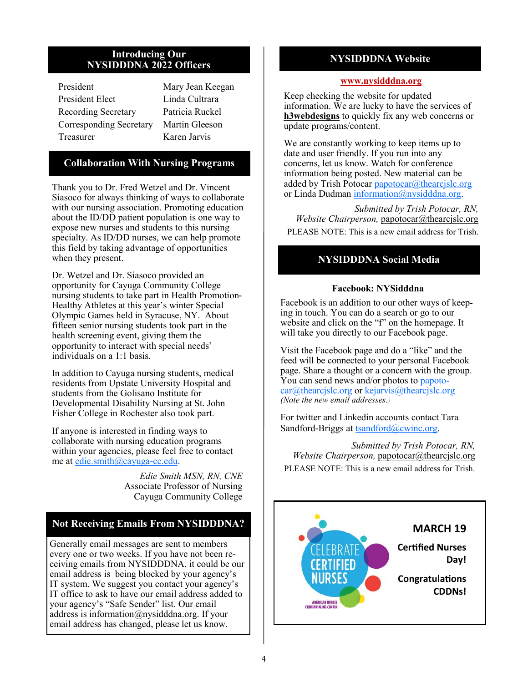#### **Introducing Our NYSIDDDNA 2022 Officers**

| President                  |
|----------------------------|
| President Elect            |
| <b>Recording Secretary</b> |
| Corresponding Secretary    |
| Treasurer                  |

Mary Jean Keegan Linda Cultrara Patricia Ruckel Martin Gleeson Karen Jarvis

## **Collaboration With Nursing Programs**

Thank you to Dr. Fred Wetzel and Dr. Vincent Siasoco for always thinking of ways to collaborate with our nursing association. Promoting education about the ID/DD patient population is one way to expose new nurses and students to this nursing specialty. As ID/DD nurses, we can help promote this field by taking advantage of opportunities when they present.

Dr. Wetzel and Dr. Siasoco provided an opportunity for Cayuga Community College nursing students to take part in Health Promotion-Healthy Athletes at this year's winter Special Olympic Games held in Syracuse, NY. About fifteen senior nursing students took part in the health screening event, giving them the opportunity to interact with special needs' individuals on a 1:1 basis.

In addition to Cayuga nursing students, medical residents from Upstate University Hospital and students from the Golisano Institute for Developmental Disability Nursing at St. John Fisher College in Rochester also took part.

If anyone is interested in finding ways to collaborate with nursing education programs within your agencies, please feel free to contact me at [edie.smith@cayuga-cc.edu.](mailto:edie.smith@cayuga-cc.edu) 

> *Edie Smith MSN, RN, CNE* Associate Professor of Nursing Cayuga Community College

## **Not Receiving Emails From NYSIDDDNA?**

Generally email messages are sent to members every one or two weeks. If you have not been receiving emails from NYSIDDDNA, it could be our email address is being blocked by your agency's IT system. We suggest you contact your agency's IT office to ask to have our email address added to your agency's "Safe Sender" list. Our email address is information@nysidddna.org. If your email address has changed, please let us know.

## **NYSIDDDNA Website**

#### **[www.nysidddna.org](http://www.nysidddna.org)**

Keep checking the website for updated information. We are lucky to have the services of **h3webdesigns** to quickly fix any web concerns or update programs/content.

We are constantly working to keep items up to date and user friendly. If you run into any concerns, let us know. Watch for conference information being posted. New material can be added by Trish Potocar papotocar $@$ thearcjslc.org or Linda Dudman [information@nysidddna.org.](mailto:information@nysidddna.org) 

*Submitted by Trish Potocar, RN, Website Chairperson,* [papotocar@thearcjslc.org](mailto:papotocar@thearcjslc.org) PLEASE NOTE: This is a new email address for Trish.

## **NYSIDDDNA Social Media**

#### **Facebook: NYSidddna**

Facebook is an addition to our other ways of keeping in touch. You can do a search or go to our website and click on the "f" on the homepage. It will take you directly to our Facebook page.

Visit the Facebook page and do a "like" and the feed will be connected to your personal Facebook page. Share a thought or a concern with the group. You can send news and/or photos to [papoto](mailto:papotocar@thearcjslc.org)[car@thearcjslc.org](mailto:papotocar@thearcjslc.org) or [kejarvis@thearcjslc.org](mailto:kejarvis@thearcjslc.org) *(Note the new email addresses.)*

For twitter and Linkedin accounts contact Tara Sandford-Briggs at [tsandford@cwinc.org.](mailto:tsandford@cwinc.org)

*Submitted by Trish Potocar, RN, Website Chairperson,* [papotocar@thearcjslc.org](mailto:papotocar@thearcjslc.org) PLEASE NOTE: This is a new email address for Trish.

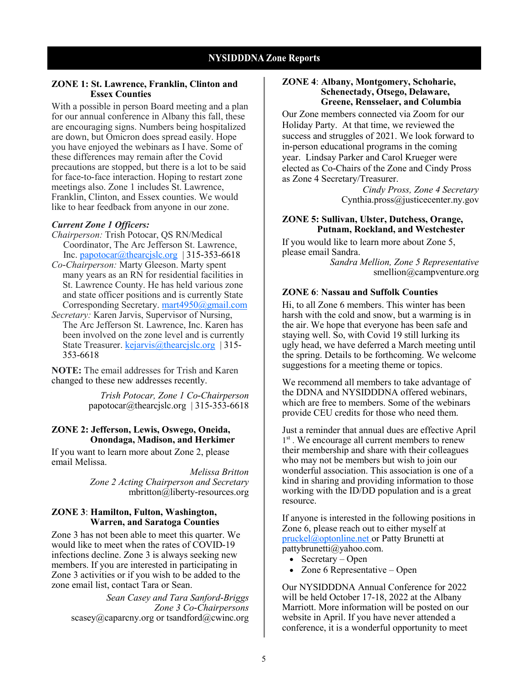#### **ZONE 1: St. Lawrence, Franklin, Clinton and Essex Counties**

With a possible in person Board meeting and a plan for our annual conference in Albany this fall, these are encouraging signs. Numbers being hospitalized are down, but Omicron does spread easily. Hope you have enjoyed the webinars as I have. Some of these differences may remain after the Covid precautions are stopped, but there is a lot to be said for face-to-face interaction. Hoping to restart zone meetings also. Zone 1 includes St. Lawrence, Franklin, Clinton, and Essex counties. We would like to hear feedback from anyone in our zone.

#### *Current Zone 1 Officers:*

- *Chairperson:* Trish Potocar, QS RN/Medical Coordinator, The Arc Jefferson St. Lawrence, Inc. [papotocar@thearcjslc.org](mailto:papotocar@thearcjslc.org) | 315-353-6618
- *Co-Chairperson:* Marty Gleeson. Marty spent many years as an RN for residential facilities in St. Lawrence County. He has held various zone and state officer positions and is currently State Corresponding Secretary. [mart4950@gmail.com](mailto:mart4950@gmail.com)
- *Secretary:* Karen Jarvis, Supervisor of Nursing, The Arc Jefferson St. Lawrence, Inc. Karen has been involved on the zone level and is currently State Treasurer. [kejarvis@thearcjslc.org](mailto:kejarvis@thearcjslc.org) | 315-353-6618

**NOTE:** The email addresses for Trish and Karen changed to these new addresses recently.

> *Trish Potocar, Zone 1 Co-Chairperson* [papotocar@thearcjslc.org](mailto:papotocar@thearcjslc.org) | 315-353-6618

#### **ZONE 2: Jefferson, Lewis, Oswego, Oneida, Onondaga, Madison, and Herkimer**

If you want to learn more about Zone 2, please email Melissa.

> *Melissa Britton Zone 2 Acting Chairperson and Secretary* mbritton@liberty-resources.org

#### **ZONE 3**: **Hamilton, Fulton, Washington, Warren, and Saratoga Counties**

Zone 3 has not been able to meet this quarter. We would like to meet when the rates of COVID-19 infections decline. Zone 3 is always seeking new members. If you are interested in participating in Zone 3 activities or if you wish to be added to the zone email list, contact Tara or Sean.

*Sean Casey and Tara Sanford-Briggs Zone 3 Co-Chairpersons* scasey@caparcny.org or tsandford@cwinc.org

#### **ZONE 4**: **Albany, Montgomery, Schoharie, Schenectady, Otsego, Delaware, Greene, Rensselaer, and Columbia**

Our Zone members connected via Zoom for our Holiday Party. At that time, we reviewed the success and struggles of 2021. We look forward to in-person educational programs in the coming year. Lindsay Parker and Carol Krueger were elected as Co-Chairs of the Zone and Cindy Pross as Zone 4 Secretary/Treasurer.

> *Cindy Pross, Zone 4 Secretary*  [Cynthia.pross@justicecenter.ny.gov](mailto:kruegerc@springbrookny.org)

#### **ZONE 5: Sullivan, Ulster, Dutchess, Orange, Putnam, Rockland, and Westchester**

If you would like to learn more about Zone 5, please email Sandra. *Sandra Mellion, Zone 5 Representative* 

smellion@campventure.org

#### **ZONE 6**: **Nassau and Suffolk Counties**

Hi, to all Zone 6 members. This winter has been harsh with the cold and snow, but a warming is in the air. We hope that everyone has been safe and staying well. So, with Covid 19 still lurking its ugly head, we have deferred a March meeting until the spring. Details to be forthcoming. We welcome suggestions for a meeting theme or topics.

We recommend all members to take advantage of the DDNA and NYSIDDDNA offered webinars, which are free to members. Some of the webinars provide CEU credits for those who need them.

Just a reminder that annual dues are effective April 1<sup>st</sup>. We encourage all current members to renew their membership and share with their colleagues who may not be members but wish to join our wonderful association. This association is one of a kind in sharing and providing information to those working with the ID/DD population and is a great resource.

If anyone is interested in the following positions in Zone 6, please reach out to either myself at [pruckel@optonline.net or](mailto:pruckel@optonline.net%20) Patty Brunetti at pattybrunetti@yahoo.com.

- Secretary Open
- Zone 6 Representative Open

Our NYSIDDDNA Annual Conference for 2022 will be held October 17-18, 2022 at the Albany Marriott. More information will be posted on our website in April. If you have never attended a conference, it is a wonderful opportunity to meet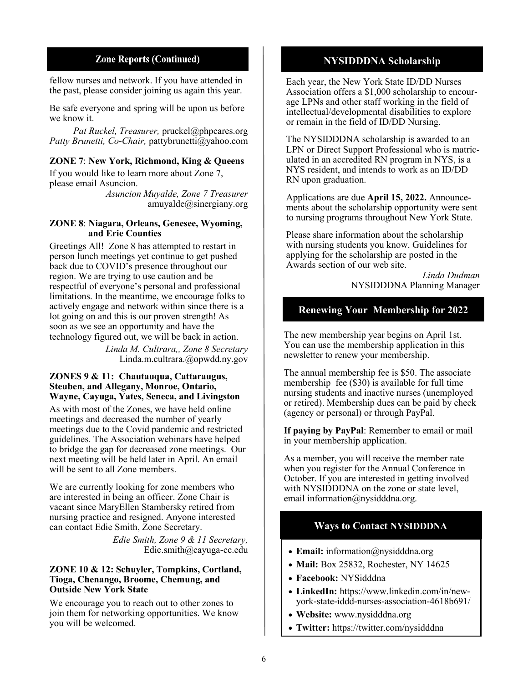#### **Zone Reports (Continued)**

fellow nurses and network. If you have attended in the past, please consider joining us again this year.

Be safe everyone and spring will be upon us before we know it.

*Pat Ruckel, Treasurer,* pruckel@phpcares.org *Patty Brunetti, Co-Chair,* pattybrunetti@yahoo.com

**ZONE 7**: **New York, Richmond, King & Queens** 

If you would like to learn more about Zone 7, please email Asuncion.

*Asuncion Muyalde, Zone 7 Treasurer* amuyalde@sinergiany.org

#### **ZONE 8**: **Niagara, Orleans, Genesee, Wyoming, and Erie Counties**

Greetings All! Zone 8 has attempted to restart in person lunch meetings yet continue to get pushed back due to COVID's presence throughout our region. We are trying to use caution and be respectful of everyone's personal and professional limitations. In the meantime, we encourage folks to actively engage and network within since there is a lot going on and this is our proven strength! As soon as we see an opportunity and have the technology figured out, we will be back in action.

> *Linda M. Cultrara,, Zone 8 Secretary*  Linda.m.cultrara.@opwdd.ny.gov

#### **ZONES 9 & 11: Chautauqua, Cattaraugus, Steuben, and Allegany, Monroe, Ontario, Wayne, Cayuga, Yates, Seneca, and Livingston**

As with most of the Zones, we have held online meetings and decreased the number of yearly meetings due to the Covid pandemic and restricted guidelines. The Association webinars have helped to bridge the gap for decreased zone meetings. Our next meeting will be held later in April. An email will be sent to all Zone members.

We are currently looking for zone members who are interested in being an officer. Zone Chair is vacant since MaryEllen Stambersky retired from nursing practice and resigned. Anyone interested can contact Edie Smith, Zone Secretary.

> *Edie Smith, Zone 9 & 11 Secretary,*  Edie.smith@cayuga-cc.edu

#### **ZONE 10 & 12: Schuyler, Tompkins, Cortland, Tioga, Chenango, Broome, Chemung, and Outside New York State**

We encourage you to reach out to other zones to join them for networking opportunities. We know you will be welcomed.

## **NYSIDDDNA Scholarship**

Each year, the New York State ID/DD Nurses Association offers a \$1,000 scholarship to encourage LPNs and other staff working in the field of intellectual/developmental disabilities to explore or remain in the field of ID/DD Nursing.

The NYSIDDDNA scholarship is awarded to an LPN or Direct Support Professional who is matriculated in an accredited RN program in NYS, is a NYS resident, and intends to work as an ID/DD RN upon graduation.

Applications are due **April 15, 2022.** Announcements about the scholarship opportunity were sent to nursing programs throughout New York State.

Please share information about the scholarship with nursing students you know. Guidelines for applying for the scholarship are posted in the Awards section of our web site.

> *Linda Dudman* NYSIDDDNA Planning Manager

## **Renewing Your Membership for 2022**

The new membership year begins on April 1st. You can use the membership application in this newsletter to renew your membership.

The annual membership fee is \$50. The associate membership fee (\$30) is available for full time nursing students and inactive nurses (unemployed or retired). Membership dues can be paid by check (agency or personal) or through PayPal.

**If paying by PayPal**: Remember to email or mail in your membership application.

As a member, you will receive the member rate when you register for the Annual Conference in October. If you are interested in getting involved with NYSIDDDNA on the zone or state level, email information@nysidddna.org.

## **Ways to Contact NYSIDDDNA**

- **Email:** information@nysidddna.org
- **Mail:** Box 25832, Rochester, NY 14625
- **Facebook:** NYSidddna
- **LinkedIn:** https://www.linkedin.com/in/newyork-state-iddd-nurses-association-4618b691/
- **Website:** www.nysidddna.org
- **Twitter:** <https://twitter.com/nysidddna>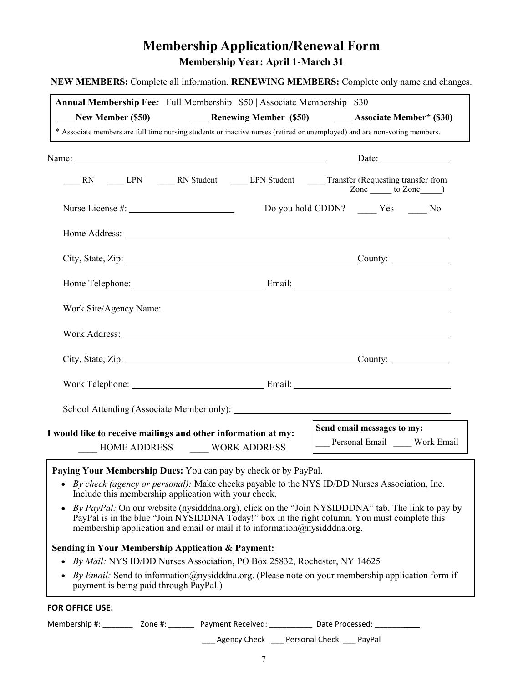# **Membership Application/Renewal Form Membership Year: April 1-March 31**

**NEW MEMBERS:** Complete all information. **RENEWING MEMBERS:** Complete only name and changes.

| Annual Membership Fee: Full Membership \$50   Associate Membership \$30<br>* Associate members are full time nursing students or inactive nurses (retired or unemployed) and are non-voting members.                                                                                                          |                                 |                                          |                                                                                                                                                                                                                                                                                                                     |  |
|---------------------------------------------------------------------------------------------------------------------------------------------------------------------------------------------------------------------------------------------------------------------------------------------------------------|---------------------------------|------------------------------------------|---------------------------------------------------------------------------------------------------------------------------------------------------------------------------------------------------------------------------------------------------------------------------------------------------------------------|--|
|                                                                                                                                                                                                                                                                                                               |                                 |                                          |                                                                                                                                                                                                                                                                                                                     |  |
|                                                                                                                                                                                                                                                                                                               |                                 |                                          | Date: $\frac{1}{\sqrt{1-\frac{1}{2}} \cdot \frac{1}{2}}$                                                                                                                                                                                                                                                            |  |
| RN _____ LPN _______ RN Student ______ LPN Student ______ Transfer (Requesting transfer from                                                                                                                                                                                                                  |                                 |                                          | $\frac{1}{2}$ $\frac{1}{2}$ $\frac{1}{2}$ $\frac{1}{2}$ $\frac{1}{2}$ $\frac{1}{2}$ $\frac{1}{2}$ $\frac{1}{2}$ $\frac{1}{2}$ $\frac{1}{2}$ $\frac{1}{2}$ $\frac{1}{2}$ $\frac{1}{2}$ $\frac{1}{2}$ $\frac{1}{2}$ $\frac{1}{2}$ $\frac{1}{2}$ $\frac{1}{2}$ $\frac{1}{2}$ $\frac{1}{2}$ $\frac{1}{2}$ $\frac{1}{2}$ |  |
|                                                                                                                                                                                                                                                                                                               |                                 | Do you hold CDDN? _______ Yes _______ No |                                                                                                                                                                                                                                                                                                                     |  |
|                                                                                                                                                                                                                                                                                                               |                                 |                                          |                                                                                                                                                                                                                                                                                                                     |  |
|                                                                                                                                                                                                                                                                                                               |                                 |                                          |                                                                                                                                                                                                                                                                                                                     |  |
|                                                                                                                                                                                                                                                                                                               |                                 |                                          |                                                                                                                                                                                                                                                                                                                     |  |
|                                                                                                                                                                                                                                                                                                               |                                 |                                          |                                                                                                                                                                                                                                                                                                                     |  |
|                                                                                                                                                                                                                                                                                                               |                                 |                                          |                                                                                                                                                                                                                                                                                                                     |  |
|                                                                                                                                                                                                                                                                                                               |                                 |                                          |                                                                                                                                                                                                                                                                                                                     |  |
| Work Telephone: Email: Email:                                                                                                                                                                                                                                                                                 |                                 |                                          |                                                                                                                                                                                                                                                                                                                     |  |
|                                                                                                                                                                                                                                                                                                               |                                 |                                          |                                                                                                                                                                                                                                                                                                                     |  |
| I would like to receive mailings and other information at my:                                                                                                                                                                                                                                                 |                                 | Send email messages to my:               |                                                                                                                                                                                                                                                                                                                     |  |
| <b>MOME ADDRESS</b> WORK ADDRESS                                                                                                                                                                                                                                                                              | Personal Email _____ Work Email |                                          |                                                                                                                                                                                                                                                                                                                     |  |
| Paying Your Membership Dues: You can pay by check or by PayPal.                                                                                                                                                                                                                                               |                                 |                                          |                                                                                                                                                                                                                                                                                                                     |  |
| By check (agency or personal): Make checks payable to the NYS ID/DD Nurses Association, Inc.<br>Include this membership application with your check.                                                                                                                                                          |                                 |                                          |                                                                                                                                                                                                                                                                                                                     |  |
| By PayPal: On our website (nysidddna.org), click on the "Join NYSIDDDNA" tab. The link to pay by<br>$\bullet$<br>PayPal is in the blue "Join NYSIDDNA Today!" box in the right column. You must complete this<br>membership application and email or mail it to information $\widehat{\omega}$ nysidddna.org. |                                 |                                          |                                                                                                                                                                                                                                                                                                                     |  |
| <b>Sending in Your Membership Application &amp; Payment:</b><br>By Mail: NYS ID/DD Nurses Association, PO Box 25832, Rochester, NY 14625                                                                                                                                                                      |                                 |                                          |                                                                                                                                                                                                                                                                                                                     |  |
| By Email: Send to information @nysidddna.org. (Please note on your membership application form if<br>payment is being paid through PayPal.)                                                                                                                                                                   |                                 |                                          |                                                                                                                                                                                                                                                                                                                     |  |
| FOR OFFICE USE:                                                                                                                                                                                                                                                                                               |                                 |                                          |                                                                                                                                                                                                                                                                                                                     |  |

Membership #: \_\_\_\_\_\_\_\_ Zone #: \_\_\_\_\_\_ Payment Received: \_\_\_\_\_\_\_\_\_\_ Date Processed: \_\_\_\_\_\_\_\_\_\_

\_\_\_ Agency Check \_\_\_ Personal Check \_\_\_ PayPal